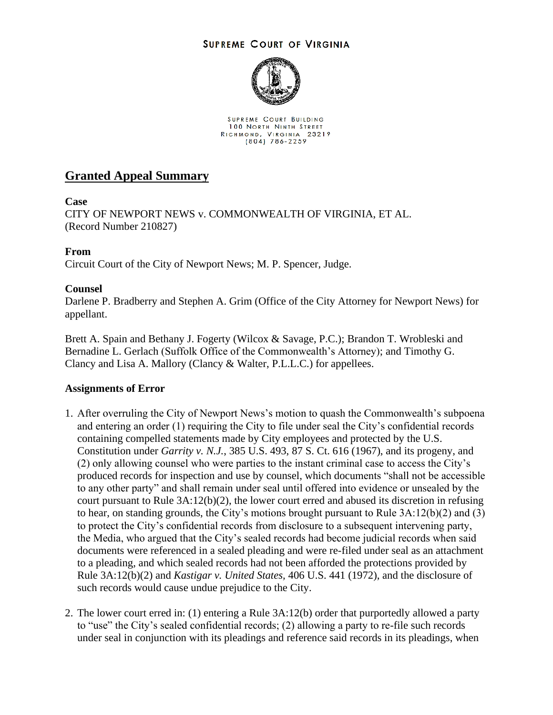## **SUPREME COURT OF VIRGINIA**



SUPREME COURT BUILDING 100 NORTH NINTH STREET RICHMOND, VIRGINIA 23219<br>(804) 786-2259

# **Granted Appeal Summary**

## **Case**

CITY OF NEWPORT NEWS v. COMMONWEALTH OF VIRGINIA, ET AL. (Record Number 210827)

## **From**

Circuit Court of the City of Newport News; M. P. Spencer, Judge.

## **Counsel**

Darlene P. Bradberry and Stephen A. Grim (Office of the City Attorney for Newport News) for appellant.

Brett A. Spain and Bethany J. Fogerty (Wilcox & Savage, P.C.); Brandon T. Wrobleski and Bernadine L. Gerlach (Suffolk Office of the Commonwealth's Attorney); and Timothy G. Clancy and Lisa A. Mallory (Clancy & Walter, P.L.L.C.) for appellees.

#### **Assignments of Error**

- 1. After overruling the City of Newport News's motion to quash the Commonwealth's subpoena and entering an order (1) requiring the City to file under seal the City's confidential records containing compelled statements made by City employees and protected by the U.S. Constitution under *Garrity v. N.J.*, 385 U.S. 493, 87 S. Ct. 616 (1967), and its progeny, and (2) only allowing counsel who were parties to the instant criminal case to access the City's produced records for inspection and use by counsel, which documents "shall not be accessible to any other party" and shall remain under seal until offered into evidence or unsealed by the court pursuant to Rule 3A:12(b)(2), the lower court erred and abused its discretion in refusing to hear, on standing grounds, the City's motions brought pursuant to Rule 3A:12(b)(2) and (3) to protect the City's confidential records from disclosure to a subsequent intervening party, the Media, who argued that the City's sealed records had become judicial records when said documents were referenced in a sealed pleading and were re-filed under seal as an attachment to a pleading, and which sealed records had not been afforded the protections provided by Rule 3A:12(b)(2) and *Kastigar v. United States,* 406 U.S. 441 (1972), and the disclosure of such records would cause undue prejudice to the City.
- 2. The lower court erred in: (1) entering a Rule 3A:12(b) order that purportedly allowed a party to "use" the City's sealed confidential records; (2) allowing a party to re-file such records under seal in conjunction with its pleadings and reference said records in its pleadings, when